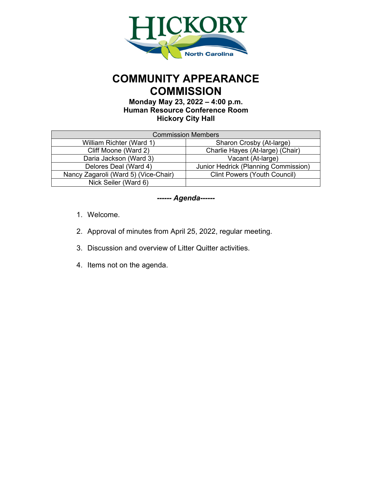

# **COMMUNITY APPEARANCE COMMISSION**

**Monday May 23, 2022 – 4:00 p.m. Human Resource Conference Room Hickory City Hall**

| <b>Commission Members</b>            |                                      |  |  |  |  |  |  |  |
|--------------------------------------|--------------------------------------|--|--|--|--|--|--|--|
| William Richter (Ward 1)             | Sharon Crosby (At-large)             |  |  |  |  |  |  |  |
| Cliff Moone (Ward 2)                 | Charlie Hayes (At-large) (Chair)     |  |  |  |  |  |  |  |
| Daria Jackson (Ward 3)               | Vacant (At-large)                    |  |  |  |  |  |  |  |
| Delores Deal (Ward 4)                | Junior Hedrick (Planning Commission) |  |  |  |  |  |  |  |
| Nancy Zagaroli (Ward 5) (Vice-Chair) | <b>Clint Powers (Youth Council)</b>  |  |  |  |  |  |  |  |
| Nick Seiler (Ward 6)                 |                                      |  |  |  |  |  |  |  |

## *------ Agenda------*

- 1. Welcome.
- 2. Approval of minutes from April 25, 2022, regular meeting.
- 3. Discussion and overview of Litter Quitter activities.
- 4. Items not on the agenda.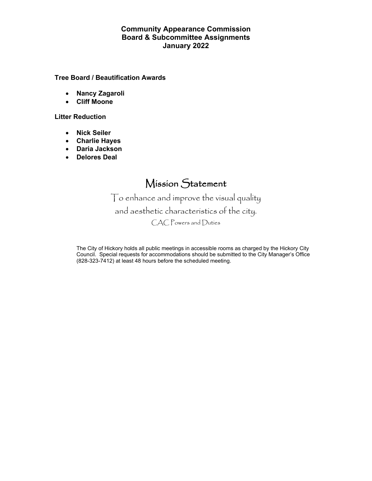### **Community Appearance Commission Board & Subcommittee Assignments January 2022**

#### **Tree Board / Beautification Awards**

- **Nancy Zagaroli**
- **Cliff Moone**

#### **Litter Reduction**

- **Nick Seiler**
- **Charlie Hayes**
- **Daria Jackson**
- **Delores Deal**

## Mission Statement

To enhance and improve the visual quality and aesthetic characteristics of the city. CAC Powers and Duties

The City of Hickory holds all public meetings in accessible rooms as charged by the Hickory City Council. Special requests for accommodations should be submitted to the City Manager's Office (828-323-7412) at least 48 hours before the scheduled meeting.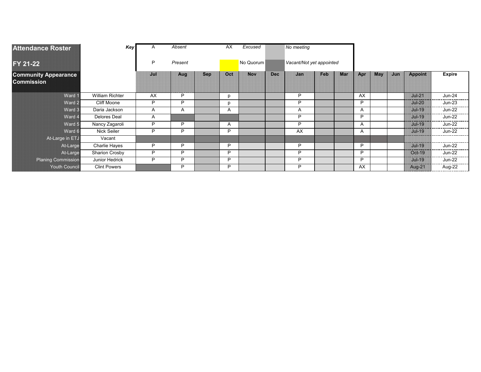| <b>Attendance Roster</b>                         | Key                    | A            | Absent |            | AX        | Excused    |                          | No meeting |     |            |     |            |     |                |               |
|--------------------------------------------------|------------------------|--------------|--------|------------|-----------|------------|--------------------------|------------|-----|------------|-----|------------|-----|----------------|---------------|
| FY 21-22                                         |                        | P<br>Present |        |            | No Quorum |            | Vacant/Not yet appointed |            |     |            |     |            |     |                |               |
| <b>Community Appearance</b><br><b>Commission</b> |                        | Jul          | Aug    | <b>Sep</b> | Oct       | <b>Nov</b> | <b>Dec</b>               | Jan        | Feb | <b>Mar</b> | Apr | <b>May</b> | Jun | <b>Appoint</b> | <b>Expire</b> |
| Ward 1                                           | <b>William Richter</b> | AX           | P      |            | n         |            |                          | Þ          |     |            | AX  |            |     | $Jul-21$       | <b>Jun-24</b> |
| Ward 2                                           | Cliff Moone            | P            | P      |            | n         |            |                          | Þ          |     |            | P   |            |     | $Jul-20$       | <b>Jun-23</b> |
| Ward 3                                           | Daria Jackson          | A            | A      |            | Α         |            |                          | A          |     |            | A   |            |     | $Jul-19$       | <b>Jun-22</b> |
| Ward 4                                           | <b>Delores Deal</b>    | A            |        |            |           |            |                          | P          |     |            | P   |            |     | $Jul-19$       | <b>Jun-22</b> |
| Ward 5                                           | Nancy Zagaroli         | P            | P      |            | A         |            |                          | Þ          |     |            | A   |            |     | $Jul-19$       | <b>Jun-22</b> |
| Ward 6                                           | Nick Seiler            | P            | P      |            | P         |            |                          | AX         |     |            | A   |            |     | $Jul-19$       | <b>Jun-22</b> |
| At-Large in ETJ                                  | Vacant                 |              |        |            |           |            |                          |            |     |            |     |            |     |                |               |
| At-Large                                         | Charlie Hayes          | P            | P      |            | P         |            |                          | P          |     |            | P   |            |     | $Jul-19$       | <b>Jun-22</b> |
| At-Large                                         | Sharion Crosby         | P            | P      |            | P         |            |                          | P          |     |            | P   |            |     | Oct-19         | <b>Jun-22</b> |
| <b>Planing Commission</b>                        | Junior Hedrick         | P            | P      |            | P         |            |                          | Þ          |     |            | D   |            |     | $Jul-19$       | <b>Jun-22</b> |
| <b>Youth Council</b>                             | <b>Clint Powers</b>    |              | P      |            | P         |            |                          | P          |     |            | AX. |            |     | <b>Aug-21</b>  | Aug-22        |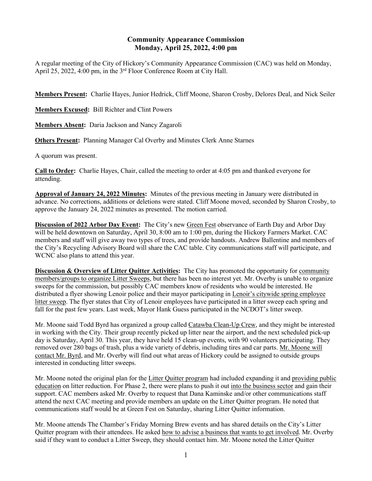#### **Community Appearance Commission Monday, April 25, 2022, 4:00 pm**

A regular meeting of the City of Hickory's Community Appearance Commission (CAC) was held on Monday, April 25, 2022, 4:00 pm, in the 3rd Floor Conference Room at City Hall.

**Members Present:** Charlie Hayes, Junior Hedrick, Cliff Moone, Sharon Crosby, Delores Deal, and Nick Seiler

**Members Excused:** Bill Richter and Clint Powers

**Members Absent:** Daria Jackson and Nancy Zagaroli

**Others Present:** Planning Manager Cal Overby and Minutes Clerk Anne Starnes

A quorum was present.

**Call to Order:** Charlie Hayes, Chair, called the meeting to order at 4:05 pm and thanked everyone for attending.

**Approval of January 24, 2022 Minutes:** Minutes of the previous meeting in January were distributed in advance. No corrections, additions or deletions were stated. Cliff Moone moved, seconded by Sharon Crosby, to approve the January 24, 2022 minutes as presented. The motion carried.

**Discussion of 2022 Arbor Day Event:** The City's new Green Fest observance of Earth Day and Arbor Day will be held downtown on Saturday, April 30, 8:00 am to 1:00 pm, during the Hickory Farmers Market. CAC members and staff will give away two types of trees, and provide handouts. Andrew Ballentine and members of the City's Recycling Advisory Board will share the CAC table. City communications staff will participate, and WCNC also plans to attend this year.

**Discussion & Overview of Litter Quitter Activities:** The City has promoted the opportunity for community members/groups to organize Litter Sweeps, but there has been no interest yet. Mr. Overby is unable to organize sweeps for the commission, but possibly CAC members know of residents who would be interested. He distributed a flyer showing Lenoir police and their mayor participating in Lenoir's citywide spring employee litter sweep. The flyer states that City of Lenoir employees have participated in a litter sweep each spring and fall for the past few years. Last week, Mayor Hank Guess participated in the NCDOT's litter sweep.

Mr. Moone said Todd Byrd has organized a group called Catawba Clean-Up Crew, and they might be interested in working with the City. Their group recently picked up litter near the airport, and the next scheduled pick-up day is Saturday, April 30. This year, they have held 15 clean-up events, with 90 volunteers participating. They removed over 280 bags of trash, plus a wide variety of debris, including tires and car parts. Mr. Moone will contact Mr. Byrd, and Mr. Overby will find out what areas of Hickory could be assigned to outside groups interested in conducting litter sweeps.

Mr. Moone noted the original plan for the Litter Quitter program had included expanding it and providing public education on litter reduction. For Phase 2, there were plans to push it out into the business sector and gain their support. CAC members asked Mr. Overby to request that Dana Kaminske and/or other communications staff attend the next CAC meeting and provide members an update on the Litter Quitter program. He noted that communications staff would be at Green Fest on Saturday, sharing Litter Quitter information.

Mr. Moone attends The Chamber's Friday Morning Brew events and has shared details on the City's Litter Quitter program with their attendees. He asked how to advise a business that wants to get involved. Mr. Overby said if they want to conduct a Litter Sweep, they should contact him. Mr. Moone noted the Litter Quitter